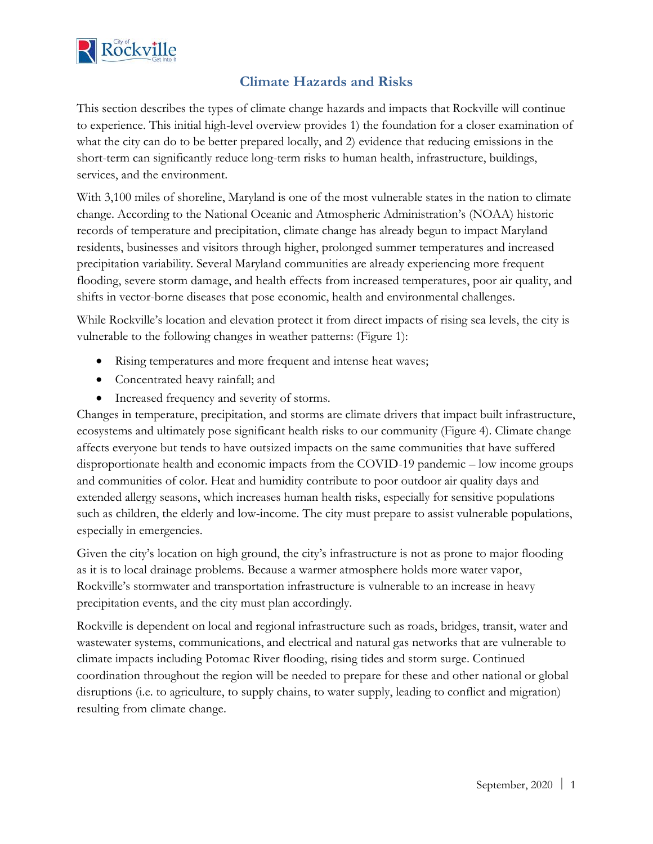

# **Climate Hazards and Risks**

This section describes the types of climate change hazards and impacts that Rockville will continue to experience. This initial high-level overview provides 1) the foundation for a closer examination of what the city can do to be better prepared locally, and 2) evidence that reducing emissions in the short-term can significantly reduce long-term risks to human health, infrastructure, buildings, services, and the environment.

With 3,100 miles of shoreline, Maryland is one of the most vulnerable states in the nation to climate change. According to the National Oceanic and Atmospheric Administration's (NOAA) historic records of temperature and precipitation, climate change has already begun to impact Maryland residents, businesses and visitors through higher, prolonged summer temperatures and increased precipitation variability. Several Maryland communities are already experiencing more frequent flooding, severe storm damage, and health effects from increased temperatures, poor air quality, and shifts in vector-borne diseases that pose economic, health and environmental challenges.

While Rockville's location and elevation protect it from direct impacts of rising sea levels, the city is vulnerable to the following changes in weather patterns: (Figure 1):

- Rising temperatures and more frequent and intense heat waves;
- Concentrated heavy rainfall; and
- Increased frequency and severity of storms.

Changes in temperature, precipitation, and storms are climate drivers that impact built infrastructure, ecosystems and ultimately pose significant health risks to our community (Figure 4). Climate change affects everyone but tends to have outsized impacts on the same communities that have suffered disproportionate health and economic impacts from the COVID-19 pandemic – low income groups and communities of color. Heat and humidity contribute to poor outdoor air quality days and extended allergy seasons, which increases human health risks, especially for sensitive populations such as children, the elderly and low-income. The city must prepare to assist vulnerable populations, especially in emergencies.

Given the city's location on high ground, the city's infrastructure is not as prone to major flooding as it is to local drainage problems. Because a warmer atmosphere holds more water vapor, Rockville's stormwater and transportation infrastructure is vulnerable to an increase in heavy precipitation events, and the city must plan accordingly.

Rockville is dependent on local and regional infrastructure such as roads, bridges, transit, water and wastewater systems, communications, and electrical and natural gas networks that are vulnerable to climate impacts including Potomac River flooding, rising tides and storm surge. Continued coordination throughout the region will be needed to prepare for these and other national or global disruptions (i.e. to agriculture, to supply chains, to water supply, leading to conflict and migration) resulting from climate change.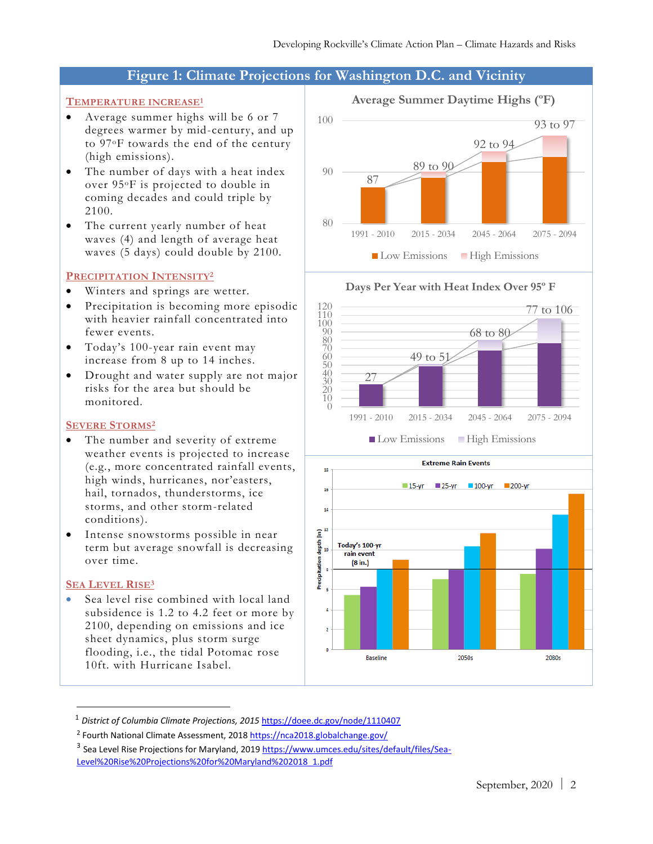## **Figure 1: Climate Projections for Washington D.C. and Vicinity**

## **TEMPERATURE INCREASE<sup>1</sup>**

- Average summer highs will be 6 or 7 degrees warmer by mid-century, and up to 97oF towards the end of the century (high emissions).
- The number of days with a heat index over 95oF is projected to double in coming decades and could triple by 2100.
- The current yearly number of heat waves (4) and length of average heat waves (5 days) could double by 2100.

#### **PRECIPITATION INTENSITY<sup>2</sup>**

- Winters and springs are wetter.
- Precipitation is becoming more episodic with heavier rainfall concentrated into fewer events.
- Today's 100-year rain event may increase from 8 up to 14 inches.
- Drought and water supply are not major risks for the area but should be monitored.

## **SEVERE STORMS<sup>2</sup>**

- The number and severity of extreme weather events is projected to increase (e.g., more concentrated rainfall events, high winds, hurricanes, nor'easters, hail, tornados, thunderstorms, ice storms, and other storm-related conditions).
- Intense snowstorms possible in near term but average snowfall is decreasing over time.

## **SEA LEVEL RISE<sup>3</sup>**

Sea level rise combined with local land subsidence is 1.2 to 4.2 feet or more by 2100, depending on emissions and ice sheet dynamics, plus storm surge flooding, i.e., the tidal Potomac rose 10ft. with Hurricane Isabel.





<sup>&</sup>lt;sup>1</sup> District of Columbia Climate Projections, 2015 <https://doee.dc.gov/node/1110407>

<sup>&</sup>lt;sup>2</sup> Fourth National Climate Assessment, 201[8 https://nca2018.globalchange.gov/](https://nca2018.globalchange.gov/)

<sup>&</sup>lt;sup>3</sup> Sea Level Rise Projections for Maryland, 201[9 https://www.umces.edu/sites/default/files/Sea-](https://www.umces.edu/sites/default/files/Sea-Level%20Rise%20Projections%20for%20Maryland%202018_1.pdf)[Level%20Rise%20Projections%20for%20Maryland%202018\\_1.pdf](https://www.umces.edu/sites/default/files/Sea-Level%20Rise%20Projections%20for%20Maryland%202018_1.pdf)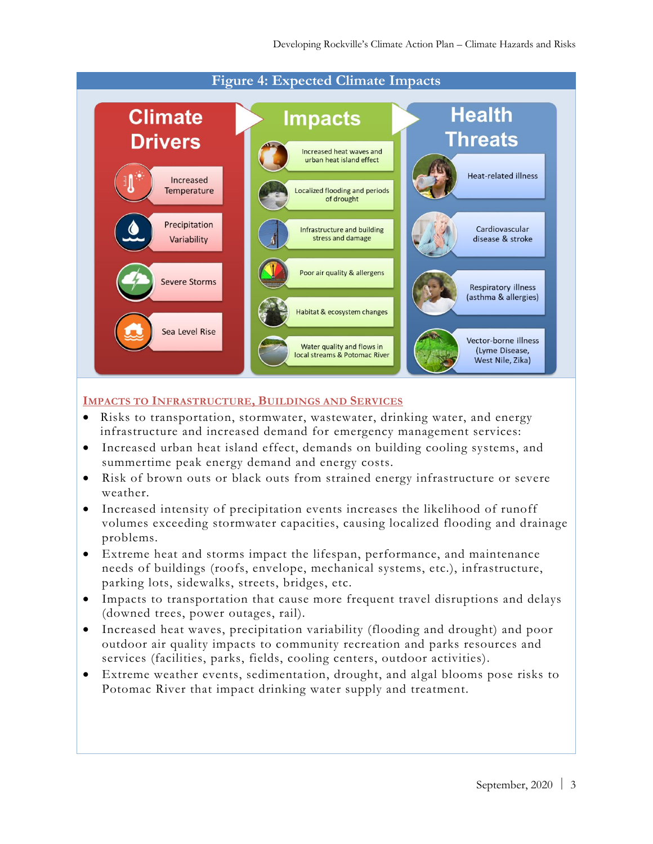

## **IMPACTS TO INFRASTRUCTURE, BUILDINGS AND SERVICES**

- Risks to transportation, stormwater, wastewater, drinking water, and energy infrastructure and increased demand for emergency management services:
- Increased urban heat island effect, demands on building cooling systems, and summertime peak energy demand and energy costs.
- Risk of brown outs or black outs from strained energy infrastructure or severe weather.
- Increased intensity of precipitation events increases the likelihood of runoff volumes exceeding stormwater capacities, causing localized flooding and drainage problems.
- Extreme heat and storms impact the lifespan, performance, and maintenance needs of buildings (roofs, envelope, mechanical systems, etc.), infrastructure, parking lots, sidewalks, streets, bridges, etc.
- Impacts to transportation that cause more frequent travel disruptions and delays (downed trees, power outages, rail).
- Increased heat waves, precipitation variability (flooding and drought) and poor outdoor air quality impacts to community recreation and parks resources and services (facilities, parks, fields, cooling centers, outdoor activities).
- Extreme weather events, sedimentation, drought, and algal blooms pose risks to Potomac River that impact drinking water supply and treatment.